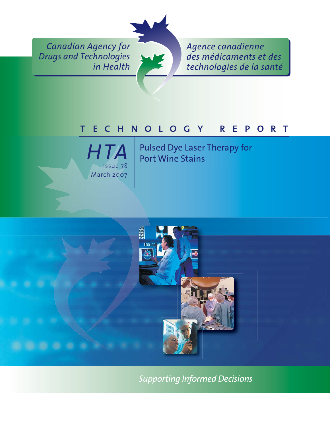*Canadian Agency for Drugs and Technologies in Health*



*Agence canadienne des médicaments et des technologies de la santé*

# technology reported the control of the control of the control of the control of the control of the control of



Pulsed Dye Laser Therapy for Port Wine Stains



*Supporting Informed Decisions*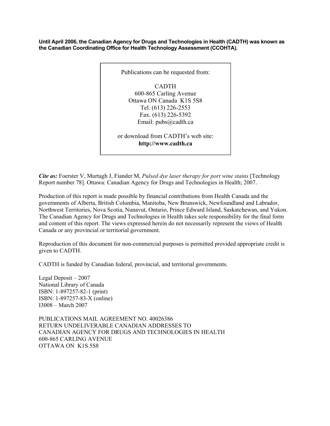**Until April 2006, the Canadian Agency for Drugs and Technologies in Health (CADTH) was known as the Canadian Coordinating Office for Health Technology Assessment (CCOHTA).** 



*Cite as:* Foerster V, Murtagh J, Fiander M, *Pulsed dye laser therapy for port wine stains* [Technology Report number 78]. Ottawa: Canadian Agency for Drugs and Technologies in Health; 2007.

Production of this report is made possible by financial contributions from Health Canada and the governments of Alberta, British Columbia, Manitoba, New Brunswick, Newfoundland and Labrador, Northwest Territories, Nova Scotia, Nunavut, Ontario, Prince Edward Island, Saskatchewan, and Yukon. The Canadian Agency for Drugs and Technologies in Health takes sole responsibility for the final form and content of this report. The views expressed herein do not necessarily represent the views of Health Canada or any provincial or territorial government.

Reproduction of this document for non-commercial purposes is permitted provided appropriate credit is given to CADTH.

CADTH is funded by Canadian federal, provincial, and territorial governments.

Legal Deposit – 2007 National Library of Canada ISBN: 1-897257-82-1 (print) ISBN: 1-897257-83-X (online) I3008 – March 2007

PUBLICATIONS MAIL AGREEMENT NO. 40026386 RETURN UNDELIVERABLE CANADIAN ADDRESSES TO CANADIAN AGENCY FOR DRUGS AND TECHNOLOGIES IN HEALTH 600-865 CARLING AVENUE OTTAWA ON K1S 5S8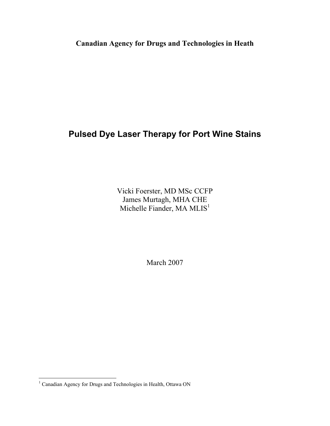**Canadian Agency for Drugs and Technologies in Heath**

## **Pulsed Dye Laser Therapy for Port Wine Stains**

Vicki Foerster, MD MSc CCFP James Murtagh, MHA CHE Michelle Fiander, MA MLIS<sup>1</sup>

March 2007

 1 Canadian Agency for Drugs and Technologies in Health, Ottawa ON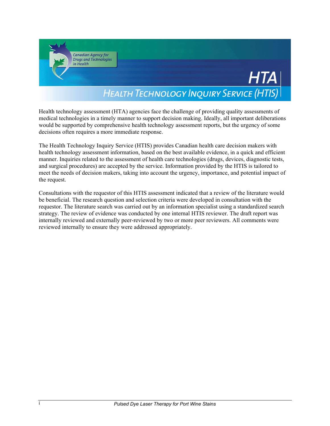

Health technology assessment (HTA) agencies face the challenge of providing quality assessments of medical technologies in a timely manner to support decision making. Ideally, all important deliberations would be supported by comprehensive health technology assessment reports, but the urgency of some decisions often requires a more immediate response.

The Health Technology Inquiry Service (HTIS) provides Canadian health care decision makers with health technology assessment information, based on the best available evidence, in a quick and efficient manner. Inquiries related to the assessment of health care technologies (drugs, devices, diagnostic tests, and surgical procedures) are accepted by the service. Information provided by the HTIS is tailored to meet the needs of decision makers, taking into account the urgency, importance, and potential impact of the request.

Consultations with the requestor of this HTIS assessment indicated that a review of the literature would be beneficial. The research question and selection criteria were developed in consultation with the requestor. The literature search was carried out by an information specialist using a standardized search strategy. The review of evidence was conducted by one internal HTIS reviewer. The draft report was internally reviewed and externally peer-reviewed by two or more peer reviewers. All comments were reviewed internally to ensure they were addressed appropriately.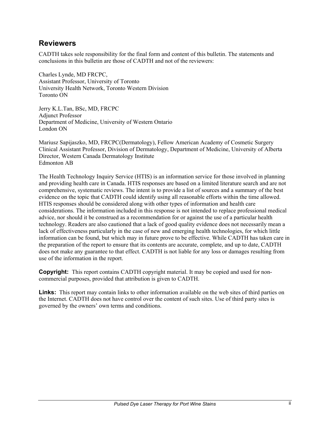#### **Reviewers**

CADTH takes sole responsibility for the final form and content of this bulletin. The statements and conclusions in this bulletin are those of CADTH and not of the reviewers:

Charles Lynde, MD FRCPC, Assistant Professor, University of Toronto University Health Network, Toronto Western Division Toronto ON

Jerry K.L.Tan, BSc, MD, FRCPC Adjunct Professor Department of Medicine, University of Western Ontario London ON

Mariusz Sapijaszko, MD, FRCPC(Dermatology), Fellow American Academy of Cosmetic Surgery Clinical Assistant Professor, Division of Dermatology, Department of Medicine, University of Alberta Director, Western Canada Dermatology Institute Edmonton AB

The Health Technology Inquiry Service (HTIS) is an information service for those involved in planning and providing health care in Canada. HTIS responses are based on a limited literature search and are not comprehensive, systematic reviews. The intent is to provide a list of sources and a summary of the best evidence on the topic that CADTH could identify using all reasonable efforts within the time allowed. HTIS responses should be considered along with other types of information and health care considerations. The information included in this response is not intended to replace professional medical advice, nor should it be construed as a recommendation for or against the use of a particular health technology. Readers are also cautioned that a lack of good quality evidence does not necessarily mean a lack of effectiveness particularly in the case of new and emerging health technologies, for which little information can be found, but which may in future prove to be effective. While CADTH has taken care in the preparation of the report to ensure that its contents are accurate, complete, and up to date, CADTH does not make any guarantee to that effect. CADTH is not liable for any loss or damages resulting from use of the information in the report.

**Copyright:** This report contains CADTH copyright material. It may be copied and used for noncommercial purposes, provided that attribution is given to CADTH.

**Links:** This report may contain links to other information available on the web sites of third parties on the Internet. CADTH does not have control over the content of such sites. Use of third party sites is governed by the owners' own terms and conditions.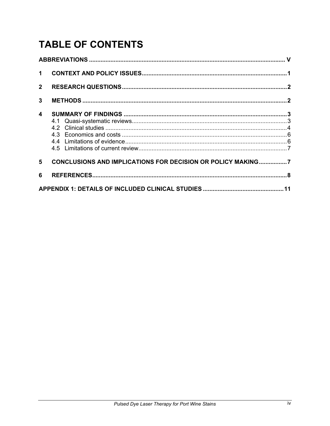# **TABLE OF CONTENTS**

| $\mathbf 1$    |                                                             |  |  |  |  |  |
|----------------|-------------------------------------------------------------|--|--|--|--|--|
| 2 <sup>1</sup> |                                                             |  |  |  |  |  |
| 3              |                                                             |  |  |  |  |  |
| 4              |                                                             |  |  |  |  |  |
| 5              | CONCLUSIONS AND IMPLICATIONS FOR DECISION OR POLICY MAKING7 |  |  |  |  |  |
| 6              |                                                             |  |  |  |  |  |
|                |                                                             |  |  |  |  |  |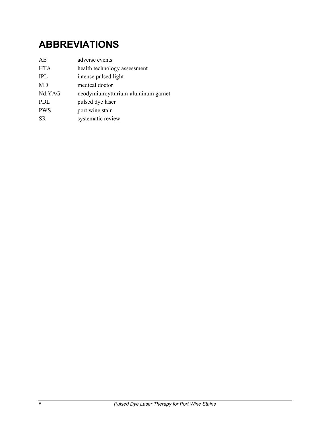## **ABBREVIATIONS**

| AE         | adverse events                      |
|------------|-------------------------------------|
| <b>HTA</b> | health technology assessment        |
| TPL.       | intense pulsed light                |
| <b>MD</b>  | medical doctor                      |
| Nd:YAG     | neodymium: ytturium-aluminum garnet |
| PDL        | pulsed dye laser                    |
| <b>PWS</b> | port wine stain                     |
| <b>SR</b>  | systematic review                   |
|            |                                     |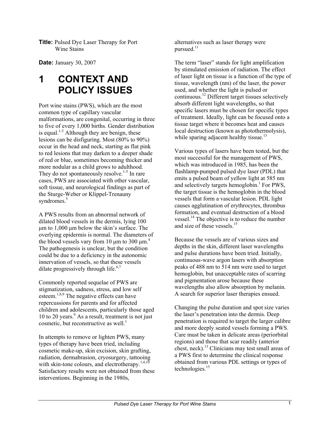**Title:** Pulsed Dye Laser Therapy for Port Wine Stains

**Date: January 30, 2007** 

## **1 CONTEXT AND POLICY ISSUES**

Port wine stains (PWS), which are the most common type of capillary vascular malformations, are congenital, occurring in three to five of every 1,000 births. Gender distribution is equal.<sup>1-3</sup> Although they are benign, these lesions can be disfiguring. Most (80% to 90%) occur in the head and neck, starting as flat pink to red lesions that may darken to a deeper shade of red or blue, sometimes becoming thicker and more nodular as a child grows to adulthood. They do not spontaneously resolve.<sup>1-5</sup> In rare cases, PWS are associated with other vascular, soft tissue, and neurological findings as part of the Sturge-Weber or Klippel-Trenauny syndromes.<sup>5</sup>

A PWS results from an abnormal network of dilated blood vessels in the dermis, lying 100 μm to 1,000 μm below the skin's surface. The overlying epidermis is normal. The diameters of the blood vessels vary from 10  $\mu$ m to 300  $\mu$ m.<sup>4</sup> The pathogenesis is unclear, but the condition could be due to a deficiency in the autonomic innervation of vessels, so that these vessels dilate progressively through life. $6,7$ 

Commonly reported sequelae of PWS are stigmatization, sadness, stress, and low self esteem.1,8,9 The negative effects can have repercussions for parents and for affected children and adolescents, particularly those aged 10 to 20 years.<sup>9</sup> As a result, treatment is not just cosmetic, but reconstructive as well. $<sup>1</sup>$ </sup>

In attempts to remove or lighten PWS, many types of therapy have been tried, including cosmetic make-up, skin excision, skin grafting, radiation, dermabrasion, cryosurgery, tattooing with skin-tone colours, and electrotherapy.<sup>1,4,10</sup> Satisfactory results were not obtained from these interventions. Beginning in the 1980s,

alternatives such as laser therapy were pursued. $11$ 

The term "laser" stands for light amplification by stimulated emission of radiation. The effect of laser light on tissue is a function of the type of tissue, wavelength (nm) of the laser, the power used, and whether the light is pulsed or continuous.<sup>12</sup> Different target tissues selectively absorb different light wavelengths, so that specific lasers must be chosen for specific types of treatment. Ideally, light can be focused onto a tissue target where it becomes heat and causes local destruction (known as photothermolysis), while sparing adjacent healthy tissue.<sup>13</sup>

Various types of lasers have been tested, but the most successful for the management of PWS, which was introduced in 1985, has been the flashlamp-pumped pulsed dye laser (PDL) that emits a pulsed beam of yellow light at 585 nm and selectively targets hemoglobin.<sup>1</sup> For PWS, the target tissue is the hemoglobin in the blood vessels that form a vascular lesion. PDL light causes agglutination of erythrocytes, thrombus formation, and eventual destruction of a blood vessel.<sup>14</sup> The objective is to reduce the number and size of these vessels  $15$ 

Because the vessels are of various sizes and depths in the skin, different laser wavelengths and pulse durations have been tried. Initially, continuous-wave argon lasers with absorption peaks of 488 nm to 514 nm were used to target hemoglobin, but unacceptable rates of scarring and pigmentation arose because these wavelengths also allow absorption by melanin. A search for superior laser therapies ensued.

Changing the pulse duration and spot size varies the laser's penetration into the dermis. Deep penetration is required to target the larger calibre and more deeply seated vessels forming a PWS. Care must be taken in delicate areas (periorbital regions) and those that scar readily (anterior chest, neck).<sup>13</sup> Clinicians may test small areas of a PWS first to determine the clinical response obtained from various PDL settings or types of technologies.<sup>15</sup>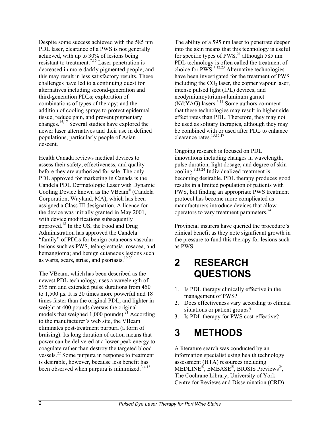Despite some success achieved with the 585 nm PDL laser, clearance of a PWS is not generally achieved, with up to 30% of lesions being resistant to treatment.7,16 Laser penetration is decreased in more darkly pigmented people, and this may result in less satisfactory results. These challenges have led to a continuing quest for alternatives including second-generation and third-generation PDLs; exploration of combinations of types of therapy; and the addition of cooling sprays to protect epidermal tissue, reduce pain, and prevent pigmentary changes.15,17 Several studies have explored the newer laser alternatives and their use in defined populations, particularly people of Asian descent.

Health Canada reviews medical devices to assess their safety, effectiveness, and quality before they are authorized for sale. The only PDL approved for marketing in Canada is the Candela PDL Dermatologic Laser with Dynamic Cooling Device known as the VBeam® (Candela Corporation, Wayland, MA), which has been assigned a Class III designation. A licence for the device was initially granted in May 2001, with device modifications subsequently approved.18 In the US, the Food and Drug Administration has approved the Candela "family" of PDLs for benign cutaneous vascular lesions such as PWS, telangiectasia, rosacea, and hemangioma; and benign cutaneous lesions such as warts, scars, striae, and psoriasis. $19,20$ 

The VBeam, which has been described as the newest PDL technology, uses a wavelength of 595 nm and extended pulse durations from 450 to 1,500 μs. It is 20 times more powerful and 18 times faster than the original PDL, and lighter in weight at 400 pounds (versus the original models that weighed 1,000 pounds).<sup>21</sup> According to the manufacturer's web site, the VBeam eliminates post-treatment purpura (a form of bruising). Its long duration of action means that power can be delivered at a lower peak energy to coagulate rather than destroy the targeted blood vessels.22 Some purpura in response to treatment is desirable, however, because less benefit has been observed when purpura is minimized.<sup>3,4,13</sup>

The ability of a 595 nm laser to penetrate deeper into the skin means that this technology is useful for specific types of PWS,<sup>21</sup> although 585 nm PDL technology is often called the treatment of choice for  $PWS$ .<sup>4,12,23</sup> Alternative technologies have been investigated for the treatment of PWS including the  $CO<sub>2</sub>$  laser, the copper vapour laser, intense pulsed light (IPL) devices, and neodymium:yttrium-aluminum garnet  $(Nd:YAG)$  lasers.<sup>4,11</sup> Some authors comment that these technologies may result in higher side effect rates than PDL. Therefore, they may not be used as solitary therapies, although they may be combined with or used after PDL to enhance clearance rates.<sup>13,15,17</sup>

Ongoing research is focused on PDL innovations including changes in wavelength, pulse duration, light dosage, and degree of skin cooling.3,13,24 Individualized treatment is becoming desirable. PDL therapy produces good results in a limited population of patients with PWS, but finding an appropriate PWS treatment protocol has become more complicated as manufacturers introduce devices that allow operators to vary treatment parameters.<sup>24</sup>

Provincial insurers have queried the procedure's clinical benefit as they note significant growth in the pressure to fund this therapy for lesions such as PWS.

## **2 RESEARCH QUESTIONS**

- 1. Is PDL therapy clinically effective in the management of PWS?
- 2. Does effectiveness vary according to clinical situations or patient groups?
- 3. Is PDL therapy for PWS cost-effective?

## **3 METHODS**

A literature search was conducted by an information specialist using health technology assessment (HTA) resources including MEDLINE®, EMBASE®, BIOSIS Previews®, The Cochrane Library, University of York Centre for Reviews and Dissemination (CRD)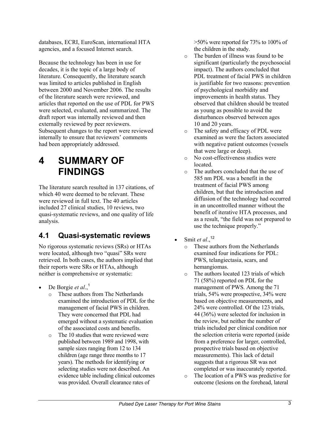databases, ECRI, EuroScan, international HTA agencies, and a focused Internet search.

Because the technology has been in use for decades, it is the topic of a large body of literature. Consequently, the literature search was limited to articles published in English between 2000 and November 2006. The results of the literature search were reviewed, and articles that reported on the use of PDL for PWS were selected, evaluated, and summarized. The draft report was internally reviewed and then externally reviewed by peer reviewers. Subsequent changes to the report were reviewed internally to ensure that reviewers' comments had been appropriately addressed.

## **4 SUMMARY OF FINDINGS**

The literature search resulted in 137 citations, of which 40 were deemed to be relevant. These were reviewed in full text. The 40 articles included 27 clinical studies, 10 reviews, two quasi-systematic reviews, and one quality of life analysis.

#### **4.1 Quasi-systematic reviews**

No rigorous systematic reviews (SRs) or HTAs were located, although two "quasi" SRs were retrieved. In both cases, the authors implied that their reports were SRs or HTAs, although neither is comprehensive or systematic:

- De Borgie *et al.*,<sup>1</sup>
	- o These authors from The Netherlands examined the introduction of PDL for the management of facial PWS in children. They were concerned that PDL had emerged without a systematic evaluation of the associated costs and benefits.
	- o The 10 studies that were reviewed were published between 1989 and 1998, with sample sizes ranging from 12 to 134 children (age range three months to 17 years). The methods for identifying or selecting studies were not described. An evidence table including clinical outcomes was provided. Overall clearance rates of

 $>50\%$  were reported for 73% to 100% of the children in the study.

- o The burden of illness was found to be significant (particularly the psychosocial impact). The authors concluded that PDL treatment of facial PWS in children is justifiable for two reasons: prevention of psychological morbidity and improvements in health status. They observed that children should be treated as young as possible to avoid the disturbances observed between ages 10 and 20 years.
- o The safety and efficacy of PDL were examined as were the factors associated with negative patient outcomes (vessels that were large or deep).
- o No cost-effectiveness studies were located.
- o The authors concluded that the use of 585 nm PDL was a benefit in the treatment of facial PWS among children, but that the introduction and diffusion of the technology had occurred in an uncontrolled manner without the benefit of iterative HTA processes, and as a result, "the field was not prepared to use the technique properly."
- Smit *et al.*,<sup>12</sup>
	- o These authors from the Netherlands examined four indications for PDL: PWS, telangiectasia, scars, and hemangiomas.
	- o The authors located 123 trials of which 71 (58%) reported on PDL for the management of PWS. Among the 71 trials, 54% were prospective, 34% were based on objective measurements, and 24% were controlled. Of the 123 trials, 44 (36%) were selected for inclusion in the review, but neither the number of trials included per clinical condition nor the selection criteria were reported (aside from a preference for larger, controlled, prospective trials based on objective measurements). This lack of detail suggests that a rigorous SR was not completed or was inaccurately reported.
	- o The location of a PWS was predictive for outcome (lesions on the forehead, lateral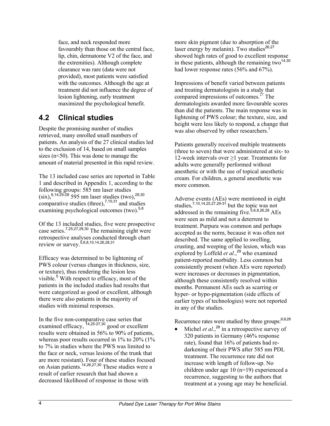face, and neck responded more favourably than those on the central face, lip, chin, dermatome V2 of the face, and the extremities). Although complete clearance was rare (data were not provided), most patients were satisfied with the outcomes. Although the age at treatment did not influence the degree of lesion lightening, early treatment maximized the psychological benefit.

#### **4.2 Clinical studies**

Despite the promising number of studies retrieved, many enrolled small numbers of patients. An analysis of the 27 clinical studies led to the exclusion of 14, based on small samples sizes ( $n \leq 50$ ). This was done to manage the amount of material presented in this rapid review.

The 13 included case series are reported in Table 1 and described in Appendix 1, according to the following groups: 585 nm laser studies  $(six)$ , <sup>6,14,25-28</sup> 595 nm laser studies (two), <sup>29,30</sup> comparative studies (three),  $7,10,31$  and studies examining psychological outcomes (two).<sup>5,8</sup>

Of the 13 included studies, five were prospective case series.<sup>7,25,27,29,30</sup> The remaining eight were retrospective analyses conducted through chart review or survey.5,6,8,10,14,26,28,31

Efficacy was determined to be lightening of PWS colour (versus changes in thickness, size, or texture), thus rendering the lesion less visible.<sup>5</sup> With respect to efficacy, most of the patients in the included studies had results that were categorized as good or excellent, although there were also patients in the majority of studies with minimal responses.

In the five non-comparative case series that examined efficacy, <sup>14,25-27,30</sup> good or excellent results were obtained in 56% to 90% of patients, whereas poor results occurred in 1% to 20% (1% to 7% in studies where the PWS was limited to the face or neck, versus lesions of the trunk that are more resistant). Four of these studies focused on Asian patients.<sup>14,26,27,30</sup> These studies were a result of earlier research that had shown a decreased likelihood of response in those with

more skin pigment (due to absorption of the laser energy by melanin). Two studies $26,27$ showed high rates of good to excellent response in these patients, although the remaining two $14,30$ had lower response rates (56% and 67%).

Impressions of benefit varied between patients and treating dermatologists in a study that compared impressions of outcomes.<sup>27</sup> The dermatologists awarded more favourable scores than did the patients. The main response was in lightening of PWS colour; the texture, size, and height were less likely to respond, a change that was also observed by other researchers.<sup>5</sup>

Patients generally received multiple treatments (three to seven) that were administered at six- to 12-week intervals over ≥1 year. Treatments for adults were generally performed without anesthetic or with the use of topical anesthetic cream. For children, a general anesthetic was more common.

Adverse events (AEs) were mentioned in eight studies,<sup>7,10,14,25,27,29-31</sup> but the topic was not addressed in the remaining five.  $5,6,8,26,28$  AEs were seen as mild and not a deterrent to treatment. Purpura was common and perhaps accepted as the norm, because it was often not described. The same applied to swelling, crusting, and weeping of the lesion, which was explored by Loffeld *et al.*,<sup>29</sup> who examined patient-reported morbidity. Less common but consistently present (when AEs were reported) were increases or decreases in pigmentation, although these consistently resolved within months. Permanent AEs such as scarring or hyper- or hypo-pigmentation (side effects of earlier types of technologies) were not reported in any of the studies.

Recurrence rates were studied by three groups:<sup>6,8,28</sup>

Michel *et al.*<sup>28</sup> in a retrospective survey of 320 patients in Germany (46% response rate), found that 16% of patients had redarkening of their PWS after 585 nm PDL treatment. The recurrence rate did not increase with length of follow-up. No children under age 10 (n=19) experienced a recurrence, suggesting to the authors that treatment at a young age may be beneficial.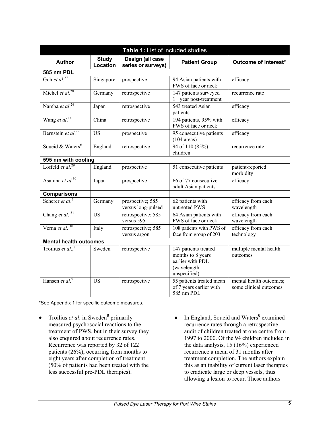| Table 1: List of included studies         |                               |                                        |                                                                                              |                                                   |  |  |  |  |
|-------------------------------------------|-------------------------------|----------------------------------------|----------------------------------------------------------------------------------------------|---------------------------------------------------|--|--|--|--|
| <b>Study</b><br><b>Author</b><br>Location |                               | Design (all case<br>series or surveys) | <b>Patient Group</b>                                                                         | Outcome of Interest*                              |  |  |  |  |
| 585 nm PDL                                |                               |                                        |                                                                                              |                                                   |  |  |  |  |
| Goh et al. <sup>27</sup>                  | Singapore                     | prospective                            | 94 Asian patients with<br>PWS of face or neck                                                | efficacy                                          |  |  |  |  |
| Michel et al. <sup>28</sup>               | Germany                       | retrospective                          | 147 patients surveyed<br>1+ year post-treatment                                              | recurrence rate                                   |  |  |  |  |
| Namba et al. $^{26}$                      | Japan                         | retrospective                          | 543 treated Asian<br>patients                                                                | efficacy                                          |  |  |  |  |
| Wang et al. <sup>14</sup>                 | China                         | retrospective                          | 194 patients, 95% with<br>PWS of face or neck                                                | efficacy                                          |  |  |  |  |
| Bernstein et al. <sup>25</sup>            | <b>US</b>                     | prospective                            | 95 consecutive patients<br>$(104 \text{ areas})$                                             | efficacy                                          |  |  |  |  |
| Soueid & Waters <sup>6</sup>              | England                       | retrospective                          | 94 of 110 (85%)<br>children                                                                  | recurrence rate                                   |  |  |  |  |
| 595 nm with cooling                       |                               |                                        |                                                                                              |                                                   |  |  |  |  |
| Loffeld et al. <sup>29</sup>              | England                       | prospective                            | 51 consecutive patients                                                                      | patient-reported<br>morbidity                     |  |  |  |  |
| Asahina et al. $30$                       | Japan                         | prospective                            | 66 of 77 consecutive<br>adult Asian patients                                                 | efficacy                                          |  |  |  |  |
| <b>Comparisons</b>                        |                               |                                        |                                                                                              |                                                   |  |  |  |  |
| Scherer et al. <sup>7</sup>               | Germany                       | prospective; 585<br>versus long-pulsed | 62 patients with<br>untreated PWS                                                            | efficacy from each<br>wavelength                  |  |  |  |  |
| Chang et al. <sup>31</sup>                | <b>US</b>                     | retrospective; 585<br>versus 595       | 64 Asian patients with<br>PWS of face or neck                                                | efficacy from each<br>wavelength                  |  |  |  |  |
| Verna et al. <sup>10</sup>                | Italy                         | retrospective; 585<br>versus argon     | 108 patients with PWS of<br>face from group of 203                                           | efficacy from each<br>technology                  |  |  |  |  |
|                                           | <b>Mental health outcomes</b> |                                        |                                                                                              |                                                   |  |  |  |  |
| Troilius et al., $8$                      | Sweden                        | retrospective                          | 147 patients treated<br>months to 8 years<br>earlier with PDL<br>(wavelength<br>unspecified) | multiple mental health<br>outcomes                |  |  |  |  |
| Hansen et al. <sup>5</sup>                | <b>US</b>                     | retrospective                          | 55 patients treated mean<br>of 7 years earlier with<br>585 nm PDL                            | mental health outcomes;<br>some clinical outcomes |  |  |  |  |

\*See Appendix 1 for specific outcome measures.

- Troilius *et al.* in Sweden<sup>8</sup> primarily measured psychosocial reactions to the treatment of PWS, but in their survey they also enquired about recurrence rates. Recurrence was reported by 32 of 122 patients (26%), occurring from months to eight years after completion of treatment (50% of patients had been treated with the less successful pre-PDL therapies).
- In England, Soueid and Waters<sup>6</sup> examined recurrence rates through a retrospective audit of children treated at one centre from 1997 to 2000. Of the 94 children included in the data analysis, 15 (16%) experienced recurrence a mean of 31 months after treatment completion. The authors explain this as an inability of current laser therapies to eradicate large or deep vessels, thus allowing a lesion to recur. These authors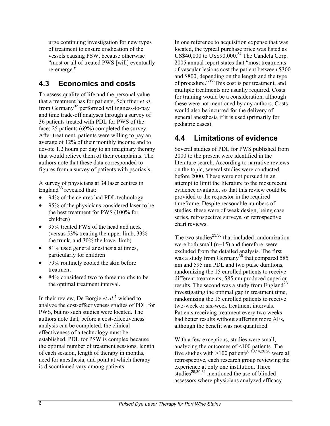urge continuing investigation for new types of treatment to ensure eradication of the vessels causing PSW, because otherwise "most or all of treated PWS [will] eventually re-emerge."

#### **4.3 Economics and costs**

To assess quality of life and the personal value that a treatment has for patients, Schiffner *et al*. from Germany<sup>32</sup> performed willingness-to-pay and time trade-off analyses through a survey of 36 patients treated with PDL for PWS of the face; 25 patients (69%) completed the survey. After treatment, patients were willing to pay an average of 12% of their monthly income and to devote 1.2 hours per day to an imaginary therapy that would relieve them of their complaints. The authors note that these data corresponded to figures from a survey of patients with psoriasis.

A survey of physicians at 34 laser centres in England $33$  revealed that:

- 94% of the centres had PDL technology
- 95% of the physicians considered laser to be the best treatment for PWS (100% for children)
- 95% treated PWS of the head and neck (versus 53% treating the upper limb, 33% the trunk, and 30% the lower limb)
- 81% used general anesthesia at times, particularly for children
- 79% routinely cooled the skin before treatment
- 84% considered two to three months to be the optimal treatment interval.

In their review, De Borgie *et al*.<sup>1</sup> wished to analyze the cost-effectiveness studies of PDL for PWS, but no such studies were located. The authors note that, before a cost-effectiveness analysis can be completed, the clinical effectiveness of a technology must be established. PDL for PSW is complex because the optimal number of treatment sessions, length of each session, length of therapy in months, need for anesthesia, and point at which therapy is discontinued vary among patients.

In one reference to acquisition expense that was located, the typical purchase price was listed as US\$40,000 to US\$90,000.<sup>34</sup> The Candela Corp. 2005 annual report states that "most treatments of vascular lesions cost the patient between \$300 and \$800, depending on the length and the type of procedure." $35$  This cost is per treatment, and multiple treatments are usually required. Costs for training would be a consideration, although these were not mentioned by any authors. Costs would also be incurred for the delivery of general anesthesia if it is used (primarily for pediatric cases).

### **4.4 Limitations of evidence**

Several studies of PDL for PWS published from 2000 to the present were identified in the literature search. According to narrative reviews on the topic, several studies were conducted before 2000. These were not pursued in an attempt to limit the literature to the most recent evidence available, so that this review could be provided to the requestor in the required timeframe. Despite reasonable numbers of studies, these were of weak design, being case series, retrospective surveys, or retrospective chart reviews.

The two studies $^{23,36}$  that included randomization were both small (n=15) and therefore, were excluded from the detailed analysis. The first was a study from Germany<sup>36</sup> that compared 585 nm and 595 nm PDL and two pulse durations, randomizing the 15 enrolled patients to receive different treatments; 585 nm produced superior results. The second was a study from England<sup>23</sup> investigating the optimal gap in treatment time, randomizing the 15 enrolled patients to receive two-week or six-week treatment intervals. Patients receiving treatment every two weeks had better results without suffering more AEs, although the benefit was not quantified.

With a few exceptions, studies were small, analyzing the outcomes of <100 patients. The five studies with  $>100$  patients<sup>8,10,14,26,28</sup> were all retrospective, each research group reviewing the experience at only one institution. Three studies<sup>25,30,31</sup> mentioned the use of blinded assessors where physicians analyzed efficacy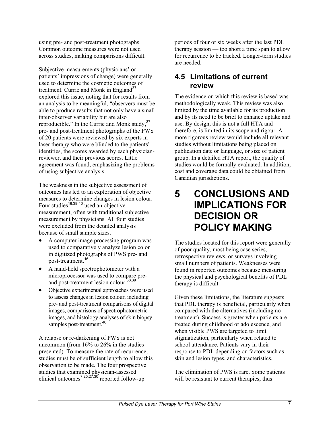using pre- and post-treatment photographs. Common outcome measures were not used across studies, making comparisons difficult.

Subjective measurements (physicians' or patients' impressions of change) were generally used to determine the cosmetic outcomes of treatment. Currie and Monk in England<sup>37</sup> explored this issue, noting that for results from an analysis to be meaningful, "observers must be able to produce results that not only have a small inter-observer variability but are also reproducible." In the Currie and Monk study,  $37$ pre- and post-treatment photographs of the PWS of 20 patients were reviewed by six experts in laser therapy who were blinded to the patients' identities, the scores awarded by each physicianreviewer, and their previous scores. Little agreement was found, emphasizing the problems of using subjective analysis.

The weakness in the subjective assessment of outcomes has led to an exploration of objective measures to determine changes in lesion colour. Four studies<sup>16,38-40</sup> used an objective measurement, often with traditional subjective measurement by physicians. All four studies were excluded from the detailed analysis because of small sample sizes.

- A computer image processing program was used to comparatively analyze lesion color in digitized photographs of PWS pre- and post-treatment.<sup>16</sup>
- A hand-held spectrophotometer with a microprocessor was used to compare preand post-treatment lesion colour.<sup>38,39</sup>
- Objective experimental approaches were used to assess changes in lesion colour, including pre- and post-treatment comparisons of digital images, comparisons of spectrophotometric images, and histology analyses of skin biopsy samples post-treatment.<sup>40</sup>

A relapse or re-darkening of PWS is not uncommon (from 16% to 26% in the studies presented). To measure the rate of recurrence, studies must be of sufficient length to allow this observation to be made. The four prospective studies that examined physician-assessed clinical outcomes<sup>7,25,27,30</sup> reported follow-up

periods of four or six weeks after the last PDL therapy session — too short a time span to allow for recurrence to be tracked. Longer-term studies are needed.

#### **4.5 Limitations of current review**

The evidence on which this review is based was methodologically weak. This review was also limited by the time available for its production and by its need to be brief to enhance uptake and use. By design, this is not a full HTA and therefore, is limited in its scope and rigour. A more rigorous review would include all relevant studies without limitations being placed on publication date or language, or size of patient group. In a detailed HTA report, the quality of studies would be formally evaluated. In addition, cost and coverage data could be obtained from Canadian jurisdictions.

## **5 CONCLUSIONS AND IMPLICATIONS FOR DECISION OR POLICY MAKING**

The studies located for this report were generally of poor quality, most being case series, retrospective reviews, or surveys involving small numbers of patients. Weaknesses were found in reported outcomes because measuring the physical and psychological benefits of PDL therapy is difficult.

Given these limitations, the literature suggests that PDL therapy is beneficial, particularly when compared with the alternatives (including no treatment). Success is greater when patients are treated during childhood or adolescence, and when visible PWS are targeted to limit stigmatization, particularly when related to school attendance. Patients vary in their response to PDL depending on factors such as skin and lesion types, and characteristics.

The elimination of PWS is rare. Some patients will be resistant to current therapies, thus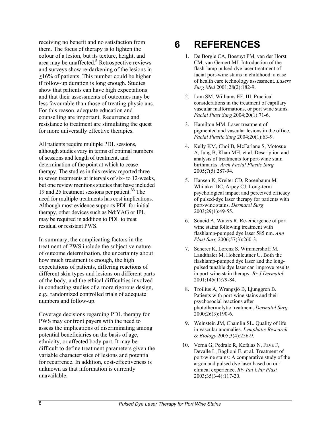receiving no benefit and no satisfaction from them. The focus of therapy is to lighten the colour of a lesion, but its texture, height, and area may be unaffected.<sup>5</sup> Retrospective reviews and surveys show re-darkening of the lesions in  $\geq$ 16% of patients. This number could be higher if follow-up duration is long enough. Studies show that patients can have high expectations and that their assessments of outcomes may be less favourable than those of treating physicians. For this reason, adequate education and counselling are important. Recurrence and resistance to treatment are stimulating the quest for more universally effective therapies.

All patients require multiple PDL sessions, although studies vary in terms of optimal numbers of sessions and length of treatment, and determination of the point at which to cease therapy. The studies in this review reported three to seven treatments at intervals of six- to 12-weeks, but one review mentions studies that have included 19 and 25 treatment sessions per patient.<sup>33</sup> The need for multiple treatments has cost implications. Although most evidence supports PDL for initial therapy, other devices such as Nd:YAG or IPL may be required in addition to PDL to treat residual or resistant PWS.

In summary, the complicating factors in the treatment of PWS include the subjective nature of outcome determination, the uncertainty about how much treatment is enough, the high expectations of patients, differing reactions of different skin types and lesions on different parts of the body, and the ethical difficulties involved in conducting studies of a more rigorous design, e.g., randomized controlled trials of adequate numbers and follow-up.

Coverage decisions regarding PDL therapy for PWS may confront payers with the need to assess the implications of discriminating among potential beneficiaries on the basis of age, ethnicity, or affected body part. It may be difficult to define treatment parameters given the variable characteristics of lesions and potential for recurrence. In addition, cost-effectiveness is unknown as that information is currently unavailable.

## **6 REFERENCES**

- 1. De Borgie CA, Bossuyt PM, van der Horst CM, van Gemert MJ. Introduction of the flash-lamp pulsed-dye laser treatment of facial port-wine stains in childhood: a case of health care technology assessment. *Lasers Surg Med* 2001;28(2):182-9.
- 2. Lam SM, Williams EF, III. Practical considerations in the treatment of capillary vascular malformations, or port wine stains. *Facial Plast Surg* 2004;20(1):71-6.
- 3. Hamilton MM. Laser treatment of pigmented and vascular lesions in the office. *Facial Plastic Surg* 2004;20(1):63-9.
- 4. Kelly KM, Choi B, McFarlane S, Motosue A, Jung B, Khan MH, et al. Description and analysis of treatments for port-wine stain birthmarks. *Arch Facial Plastic Surg* 2005;7(5):287-94.
- 5. Hansen K, Kreiter CD, Rosenbaum M, Whitaker DC, Arpey CJ. Long-term psychological impact and perceived efficacy of pulsed-dye laser therapy for patients with port-wine stains. *Dermatol Surg* 2003;29(1):49-55.
- 6. Soueid A, Waters R. Re-emergence of port wine stains following treatment with flashlamp-pumped dye laser 585 nm. *Ann Plast Surg* 2006;57(3):260-3.
- 7. Scherer K, Lorenz S, Wimmershoff M, Landthaler M, Hohenleutner U. Both the flashlamp-pumped dye laser and the longpulsed tunable dye laser can improve results in port-wine stain therapy. *Br J Dermatol* 2001;145(1):79-84.
- 8. Troilius A, Wrangsjö B, Ljunggren B. Patients with port-wine stains and their psychosocial reactions after photothermolytic treatment. *Dermatol Surg* 2000;26(3):190-6.
- 9. Weinstein JM, Chamlin SL. Quality of life in vascular anomalies. *Lymphatic Research & Biology* 2005;3(4):256-9.
- 10. Verna G, Pedrale R, Kefalas N, Fava F, Devalle L, Baglioni E, et al. Treatment of port-wine stains: A comparative study of the argon and pulsed dye laser based on our clinical experience. *Riv Ital Chir Plast* 2003;35(3-4):117-20.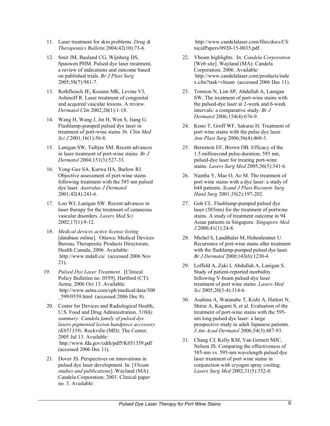- 11. Laser treatment for skin problems. *Drug & Therapeutics Bulletin* 2004;42(10):73-6.
- 12. Smit JM, Bauland CG, Wijnberg DS, Spauwen PHM. Pulsed dye laser treatment, a review of indications and outcome based on published trials. *Br J Plast Surg* 2005;58(7):981-7.
- 13. Rothfleisch JE, Kosann MK, Levine VJ, Ashinoff R. Laser treatment of congenital and acquired vascular lesions. A review. *Dermatol Clin* 2002;20(1):1-18.
- 14. Wang H, Wang J, Jin H, Wen S, Jiang G. Flashlamp-pumped pulsed dye laser in treatment of port-wine stains 36. *Chin Med Sci J* 2001;16(1):56-8.
- 15. Lanigan SW, Taibjee SM. Recent advances in laser treatment of port-wine stains. *Br J Dermatol* 2004;151(3):527-33.
- 16. Yong-Gee SA, Kurwa HA, Barlow RJ. Objective assessment of port-wine stains following treatment with the 585 nm pulsed dye laser. *Australas J Dermatol* 2001;42(4):243-6.
- 17. Loo WJ, Lanigan SW. Recent advances in laser therapy for the treatment of cutaneous vascular disorders. *Lasers Med Sci* 2002;17(1):9-12.
- 18. *Medical devices active license listing*  [database online]. Ottawa: Medical Devices Bureau, Therapeutic Products Directorate, Health Canada; 2006. Available: http://www.mdall.ca/ (accessed 2006 Nov 21).
- 19. *Pulsed Dye Laser Treatment*. [Clinical Policy Bulletins no. 0559]. Hartford (CT): Aetna; 2006 Oct 13. Available: http://www.aetna.com/cpb/medical/data/500 599/0559.html (accessed 2006 Dec 8).
- 20. Center for Devices and Radiological Health, U.S. Food and Drug Administration. *510(k) summary: Candela family of pulsed dye lasers pigmented lesion handpiece accessory (K051359)*. Rockville (MD): The Center; 2005 Jul 13. Available: http://www.fda.gov/cdrh/pdf5/K051359.pdf (accessed 2006 Dec 11).
- 21. Dover JS. Perspectives on innovations in pulsed dye laser development. In: [*Vbeam studies and publications*]. Wayland (MA): Candela Corporation; 2003. Clinical paper no. 3. Available:

http://www.candelalaser.com/files/docs/Cli nicalPapers/0920-15-0035.pdf.

- 22. Vbeam highlights. In: *Candela Corporation*  [Web site]. Wayland (MA): Candela Corporation; 2006. Available: http://www.candelalaser.com/products/inde x.cfm?task=vbeam (accessed 2006 Dec 11).
- 23. Tomson N, Lim SP, Abdullah A, Lanigan SW. The treatment of port-wine stains with the pulsed-dye laser at 2-week and 6-week intervals: a comparative study. *Br J Dermatol* 2006;154(4):676-9.
- 24. Kono T, Groff WF, Sakurai H. Treatment of port wine stains with the pulse dye laser. *Ann Plast Surg* 2006;56(4):460-3.
- 25. Bernstein EF, Brown DB. Efficacy of the 1.5 millisecond pulse-duration, 585 nm, pulsed-dye laser for treating port-wine stains. *Lasers Surg Med* 2005;36(5):341-6.
- 26. Namba Y, Mae O, Ao M. The treatment of port wine stains with a dye laser: a study of 644 patients. *Scand J Plast Reconstr Surg Hand Surg* 2001;35(2):197-202.
- 27. Goh CL. Flashlamp-pumped pulsed dye laser (585nm) for the treatment of portwine stains. A study of treatment outcome in 94 Asian patients in Singapore. *Singapore Med J* 2000;41(1):24-8.
- 28. Michel S, Landthaler M, Hohenleutner U. Recurrence of port-wine stains after treatment with the flashlamp-pumped pulsed dye laser. *Br J Dermatol* 2000;143(6):1230-4.
- 29. Loffeld A, Zaki I, Abdullah A, Lanigan S. Study of patient-reported morbidity following V-beam pulsed-dye laser treatment of port wine stains. *Lasers Med Sci* 2005;20(3-4):114-6.
- 30. Asahina A, Watanabe T, Kishi A, Hattori N, Shirai A, Kagami S, et al. Evaluation of the treatment of port-wine stains with the 595 nm long pulsed dye laser: a large prospective study in adult Japanese patients. *J Am Acad Dermatol* 2006;54(3):487-93.
- 31. Chang CJ, Kelly KM, Van Gemert MJC, Nelson JS. Comparing the effectiveness of 585-nm vs. 595-nm wavelength pulsed dye laser treatment of port wine stains in conjunction with cryogen spray cooling. *Lasers Surg Med* 2002;31(5):352-8.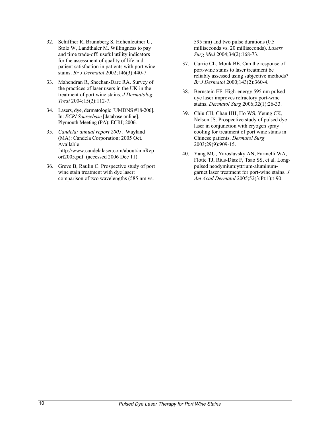- 32. Schiffner R, Brunnberg S, Hohenleutner U, Stolz W, Landthaler M. Willingness to pay and time trade-off: useful utility indicators for the assessment of quality of life and patient satisfaction in patients with port wine stains. *Br J Dermatol* 2002;146(3):440-7.
- 33. Mahendran R, Sheehan-Dare RA. Survey of the practices of laser users in the UK in the treatment of port wine stains. *J Dermatolog Treat* 2004;15(2):112-7.
- 34. Lasers, dye, dermatologic [UMDNS #18-206]. In: *ECRI Sourcebase* [database online]. Plymouth Meeting (PA): ECRI; 2006.
- 35. *Candela: annual report 2005*. Wayland (MA): Candela Corporation; 2005 Oct. Available: http://www.candelalaser.com/about/annRep ort2005.pdf (accessed 2006 Dec 11).
- 36. Greve B, Raulin C. Prospective study of port wine stain treatment with dye laser: comparison of two wavelengths (585 nm vs.

595 nm) and two pulse durations (0.5 milliseconds vs. 20 milliseconds). *Lasers Surg Med* 2004;34(2):168-73.

- 37. Currie CL, Monk BE. Can the response of port-wine stains to laser treatment be reliably assessed using subjective methods? *Br J Dermatol* 2000;143(2):360-4.
- 38. Bernstein EF. High-energy 595 nm pulsed dye laser improves refractory port-wine stains. *Dermatol Surg* 2006;32(1):26-33.
- 39. Chiu CH, Chan HH, Ho WS, Yeung CK, Nelson JS. Prospective study of pulsed dye laser in conjunction with cryogen spray cooling for treatment of port wine stains in Chinese patients. *Dermatol Surg* 2003;29(9):909-15.
- 40. Yang MU, Yaroslavsky AN, Farinelli WA, Flotte TJ, Rius-Diaz F, Tsao SS, et al. Longpulsed neodymium:yttrium-aluminumgarnet laser treatment for port-wine stains. *J Am Acad Dermatol* 2005;52(3:Pt:1):t-90.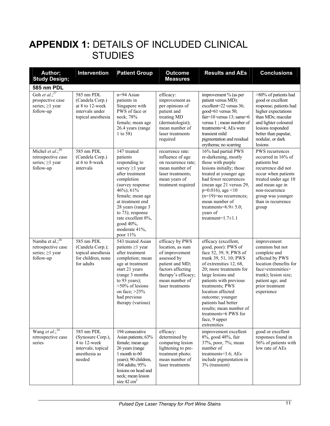## **APPENDIX 1: DETAILS OF INCLUDED CLINICAL STUDIES**

| Author;<br><b>Study Design;</b>                                                           | <b>Intervention</b>                                                                              | <b>Patient Group</b>                                                                                                                                                                                                                                                                   | <b>Outcome</b><br><b>Measures</b>                                                                                                                                         | <b>Results and AEs</b>                                                                                                                                                                                                                                                                                                                                                   | <b>Conclusions</b>                                                                                                                                                                                                  |
|-------------------------------------------------------------------------------------------|--------------------------------------------------------------------------------------------------|----------------------------------------------------------------------------------------------------------------------------------------------------------------------------------------------------------------------------------------------------------------------------------------|---------------------------------------------------------------------------------------------------------------------------------------------------------------------------|--------------------------------------------------------------------------------------------------------------------------------------------------------------------------------------------------------------------------------------------------------------------------------------------------------------------------------------------------------------------------|---------------------------------------------------------------------------------------------------------------------------------------------------------------------------------------------------------------------|
|                                                                                           |                                                                                                  |                                                                                                                                                                                                                                                                                        |                                                                                                                                                                           |                                                                                                                                                                                                                                                                                                                                                                          |                                                                                                                                                                                                                     |
| 585 nm PDL<br>Goh et al.; $27$<br>prospective case<br>series; $\geq$ 1 year<br>follow-up  | 585 nm PDL<br>(Candela Corp.)<br>at 8 to 12-week<br>intervals under<br>topical anesthesia        | n=94 Asian<br>patients in<br>Singapore with<br>PWS of face or<br>neck; 78%<br>female; mean age<br>26.4 years (range<br>1 to 58)                                                                                                                                                        | efficacy:<br>improvement as<br>per opinions of<br>patient and<br>treating MD<br>(dermatologist);<br>mean number of<br>laser treatments<br>required                        | improvement % (as per<br>patient versus MD):<br>excellent=22 versus 36;<br>good=61 versus 50;<br>fair=10 versus 13; same=6<br>versus 1; mean number of<br>treatments=4; AEs were<br>transient mild<br>pigmentation and residual<br>erythema; no scarring                                                                                                                 | >80% of patients had<br>good or excellent<br>response; patients had<br>higher expectations<br>than MDs; macular<br>and lighter coloured<br>lesions responded<br>better than papular,<br>nodular, or dark<br>lesions |
| Michel et al.; $\frac{28}{3}$<br>retrospective case<br>series; $\geq$ 1 year<br>follow-up | 585 nm PDL<br>(Candela Corp.)<br>at 6 to 8-week<br>intervals                                     | 147 treated<br>patients<br>responding to<br>survey $\geq 1$ year<br>after treatment<br>completion<br>(survey response<br>46%); 61%<br>female; mean age<br>at treatment end<br>28 years (range 3<br>to 73); response<br>rate excellent 8%,<br>good 40%,<br>moderate 41%,<br>poor $11\%$ | recurrence rate:<br>influence of age<br>on recurrence rate;<br>mean number of<br>laser treatments;<br>mean years of<br>treatment required                                 | 16% had partial PWS<br>re-darkening, mostly<br>those with purple<br>lesions initially; those<br>treated at younger age<br>had fewer recurrences<br>(mean age 21 versus 29,<br>$p=0.016$ , age <10<br>$(n=19)$ =no recurrences;<br>mean number of<br>treatments= $6.9 \pm 5.0$ ;<br>years of<br>treatment= $1.7 \pm 1.1$                                                  | PWS recurrences<br>occurred in 16% of<br>patients but<br>recurrence did not<br>occur when patients<br>treated under age 10<br>and mean age in<br>non-recurrence<br>group was younger<br>than in recurrence<br>group |
| Namba et al.; $^{26}$<br>retrospective case<br>series; $\geq$ 1 year<br>follow-up         | 585 nm PDL<br>(Candela Corp.);<br>topical anesthesia<br>for children, none<br>for adults         | 543 treated Asian<br>patients $\geq$ 1 year<br>after treatment<br>completion; mean<br>age at treatment<br>start 21 years<br>(range 3 months<br>to 93 years);<br>>50% of lesions<br>on face; $>25\%$<br>had previous<br>therapy (various)                                               | efficacy by PWS<br>location, as sum<br>of improvement<br>assessed by<br>patient and MD;<br>factors affecting<br>therapy's efficacy;<br>mean number of<br>laser treatments | efficacy (excellent,<br>good, poor): PWS of<br>face 52, 39, 9; PWS of<br>trunk 39, 51, 10; PWS<br>of extremities 12, 68,<br>20; more treatments for<br>large lesions and<br>patients with previous<br>treatments; PWS<br>location affected<br>outcome; younger<br>patients had better<br>results; mean number of<br>treatments=6 PWS for<br>face, 9 upper<br>extremities | improvement<br>common but not<br>complete and<br>affected by PWS<br>location (benefits for<br>face>extremities><br>trunk); lesion size;<br>patient age; and<br>prior treatment<br>experience                        |
| Wang et $al$ : <sup>14</sup><br>retrospective case<br>series                              | 585 nm PDL<br>(Synosure Corp.),<br>4 to 12-week<br>intervals; topical<br>anesthesia as<br>needed | 194 consecutive<br>Asian patients; 63%<br>female; mean age<br>26 years (range<br>1 month to 60<br>years); 90 children,<br>104 adults; 95%<br>lesions on head and<br>neck; mean lesion<br>size $42 \text{ cm}^2$                                                                        | efficacy:<br>determined by<br>comparing lesion<br>lightening to pre-<br>treatment photo;<br>mean number of<br>laser treatments                                            | improvement excellent<br>8%, good 48%, fair<br>37%, poor, 7%; mean<br>number of<br>treatments=3.6; AEs<br>include pigmentation in<br>3% (transient)                                                                                                                                                                                                                      | good or excellent<br>responses found in<br>56% of patients with<br>low rate of AEs                                                                                                                                  |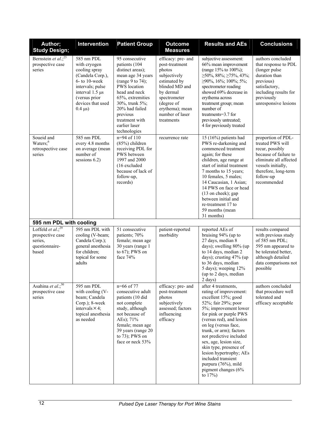| Author;<br><b>Study Design;</b>                                                | Intervention                                                                                                                                                                                   | <b>Patient Group</b>                                                                                                                                                                                                                                 | <b>Outcome</b><br><b>Measures</b>                                                                                                                                                               | <b>Results and AEs</b>                                                                                                                                                                                                                                                                                                                                                                                                  | <b>Conclusions</b>                                                                                                                                                                     |
|--------------------------------------------------------------------------------|------------------------------------------------------------------------------------------------------------------------------------------------------------------------------------------------|------------------------------------------------------------------------------------------------------------------------------------------------------------------------------------------------------------------------------------------------------|-------------------------------------------------------------------------------------------------------------------------------------------------------------------------------------------------|-------------------------------------------------------------------------------------------------------------------------------------------------------------------------------------------------------------------------------------------------------------------------------------------------------------------------------------------------------------------------------------------------------------------------|----------------------------------------------------------------------------------------------------------------------------------------------------------------------------------------|
| Bernstein et al.; <sup>25</sup><br>prospective case<br>series                  | 585 nm PDL<br>with cryogen<br>cooling spray<br>(Candela Corp.),<br>$6-$ to 10-week<br>intervals; pulse<br>interval 1.5 µs<br>(versus prior<br>devices that used<br>$0.4 \text{ }\mu\text{s}$ ) | 95 consecutive<br>patients (104<br>distinct areas);<br>mean age 34 years<br>(range 9 to 74);<br>PWS location<br>head and neck<br>65%, extremities<br>30%, trunk 5%;<br>20% had failed<br>previous<br>treatment with<br>earlier laser<br>technologies | efficacy: pre- and<br>post-treatment<br>photos<br>subjectively<br>estimated by<br>blinded MD and<br>by dermal<br>spectrometer<br>(degree of<br>erythema); mean<br>number of laser<br>treatments | subjective assessment:<br>66% mean improvement<br>(range 15% to 100%);<br>$\geq$ 50%, 88%; $\geq$ 75%, 43%;<br>$\geq$ 90%, 16%; 100%; 5%;<br>spectrometer reading<br>showed 69% decrease in<br>erythema across<br>treatment group; mean<br>number of<br>treatments=3.7 for<br>previously untreated;<br>4 for previously treated                                                                                         | authors concluded<br>that response to PDL<br>(longer pulse)<br>duration than<br>previous)<br>satisfactory,<br>including results for<br>previously<br>unresponsive lesions              |
| Soueid and<br>Waters; <sup>6</sup><br>retrospective case<br>series             | 585 nm PDL<br>every 4.8 months<br>on average (mean<br>number of<br>sessions $6.2$ )                                                                                                            | $n=94$ of 110<br>$(85%)$ children<br>receiving PDL for<br>PWS between<br>1997 and 2000<br>(16 excluded<br>because of lack of<br>follow-up,<br>records)                                                                                               | recurrence rate                                                                                                                                                                                 | 15 (16%) patients had<br>PWS re-darkening and<br>commenced treatment<br>again; for these<br>children, age range at<br>start of initial treatment<br>7 months to 15 years;<br>10 females, 5 males;<br>14 Caucasian, 1 Asian;<br>14 PWS on face or head<br>(13 on cheek); gap<br>between initial and<br>re-treatment 17 to<br>59 months (mean<br>31 months)                                                               | proportion of PDL-<br>treated PWS will<br>recur, possibly<br>because of failure to<br>eliminate all affected<br>vessels initially,<br>therefore, long-term<br>follow-up<br>recommended |
| 595 nm PDL with cooling                                                        |                                                                                                                                                                                                |                                                                                                                                                                                                                                                      |                                                                                                                                                                                                 |                                                                                                                                                                                                                                                                                                                                                                                                                         |                                                                                                                                                                                        |
| Loffeld et al.; $29$<br>prospective case<br>series,<br>questionnaire-<br>based | 595 nm PDL with<br>cooling (V-beam;<br>Candela Corp.);<br>general anesthesia<br>for children;<br>topical for some<br>adults                                                                    | 51 consecutive<br>patients; 70%<br>female; mean age<br>30 years (range 1<br>to 67); PWS on<br>face 74%                                                                                                                                               | patient-reported<br>morbidity                                                                                                                                                                   | reported AEs of<br>bruising 94% (up to<br>27 days, median 8<br>days); swelling 80% (up<br>to 14 days, median 2<br>days); crusting 47% (up<br>to 36 days, median<br>5 days); weeping 12%<br>(up to 2 days, median<br>$2 \text{ days}$ )                                                                                                                                                                                  | results compared<br>with previous study<br>of 585 nm PDL;<br>595 nm appeared to<br>be tolerated better,<br>although detailed<br>data comparisons not<br>possible                       |
| Asahina et $\overline{al.^{30}}$<br>prospective case<br>series                 | 595 nm PDL<br>with cooling (V-<br>beam; Candela<br>Corp.); 8-week<br>intervals $\times$ 4;<br>topical anesthesia<br>as needed                                                                  | n=66 of 77<br>consecutive adult<br>patients (10 did<br>not complete<br>study, although<br>not because of<br>AEs); 71%<br>female; mean age<br>39 years (range 20<br>to $73$ ); PWS on<br>face or neck 53%                                             | efficacy: pre- and<br>post-treatment<br>photos<br>subjectively<br>assessed; factors<br>influencing<br>efficacy                                                                                  | after 4 treatments,<br>rating of improvement:<br>excellent 15%; good<br>52%; fair 29%; poor<br>5%; improvement lower<br>for pink or purple PWS<br>(versus red), and lesion<br>on leg (versus face,<br>trunk, or arm); factors<br>not predictive included<br>sex, age, lesion size,<br>skin type, presence of<br>lesion hypertrophy; AEs<br>included transient<br>purpura (76%), mild<br>pigment changes (6%<br>to $17%$ | authors concluded<br>that procedure well<br>tolerated and<br>efficacy acceptable                                                                                                       |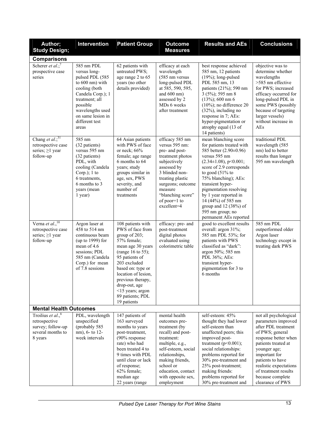| Author;<br><b>Study Design;</b>                                                               | Intervention                                                                                                                                                                                                        | <b>Patient Group</b>                                                                                                                                                                                                                                                                       | <b>Outcome</b><br><b>Measures</b>                                                                                                                                                                                                        | <b>Results and AEs</b>                                                                                                                                                                                                                                                                                                                                                     | <b>Conclusions</b>                                                                                                                                                                                                                                                                   |  |
|-----------------------------------------------------------------------------------------------|---------------------------------------------------------------------------------------------------------------------------------------------------------------------------------------------------------------------|--------------------------------------------------------------------------------------------------------------------------------------------------------------------------------------------------------------------------------------------------------------------------------------------|------------------------------------------------------------------------------------------------------------------------------------------------------------------------------------------------------------------------------------------|----------------------------------------------------------------------------------------------------------------------------------------------------------------------------------------------------------------------------------------------------------------------------------------------------------------------------------------------------------------------------|--------------------------------------------------------------------------------------------------------------------------------------------------------------------------------------------------------------------------------------------------------------------------------------|--|
| <b>Comparisons</b>                                                                            |                                                                                                                                                                                                                     |                                                                                                                                                                                                                                                                                            |                                                                                                                                                                                                                                          |                                                                                                                                                                                                                                                                                                                                                                            |                                                                                                                                                                                                                                                                                      |  |
| Scherer et al.; <sup>7</sup><br>prospective case<br>series                                    | 585 nm PDL<br>versus long-<br>pulsed PDL (585<br>to $600 \text{ nm}$ ) with<br>cooling (both<br>Candela Corp.); 1<br>treatment; all<br>possible<br>wavelengths used<br>on same lesion in<br>different test<br>areas | 62 patients with<br>untreated PWS;<br>age range 2 to 65<br>years (no other<br>details provided)                                                                                                                                                                                            | efficacy at each<br>wavelength<br>(585 nm versus<br>long-pulsed PDL<br>at 585, 590, 595,<br>and $600 \text{ nm}$ )<br>assessed by 2<br>MDs 6 weeks<br>after treatment                                                                    | best response achieved<br>585 nm, 12 patients<br>$(19%)$ ; long-pulsed<br>PDL 585 nm, 13<br>patients (21%); 590 nm<br>$3(5\%)$ ; 595 nm 8<br>$(13\%)$ ; 600 nm 6<br>$(10\%)$ ; no difference 20<br>$(32\%)$ , including no<br>response in 7; AEs:<br>hyper-pigmentation or<br>atrophy equal (13 of<br>14 patients)                                                         | objective was to<br>determine whether<br>wavelengths<br>>585 nm effective<br>for PWS; increased<br>efficacy occurred for<br>long-pulsed PDL in<br>some PWS (possibly<br>because of targeting<br>larger vessels)<br>without increase in<br>AEs                                        |  |
| Chang et $\overline{al.^{31}}$<br>retrospective case<br>series; $\geq$ 1 year<br>follow-up    | 585 nm<br>(32 patients)<br>versus 595 nm<br>(32 patients)<br>PDL, with<br>cooling (Candela<br>Corp.); 1 to<br>6 treatments,<br>6 months to 3<br>years (mean<br>1 year)                                              | 64 Asian patients<br>with PWS of face<br>or neck; $66%$<br>female; age range<br>6 months to 64<br>years; study<br>groups similar in<br>age, sex, PWS<br>severity, and<br>number of<br>treatments                                                                                           | efficacy 585 nm<br>versus 595 nm:<br>pre- and post-<br>treatment photos<br>subjectively<br>assessed by<br>3 blinded non-<br>treating plastic<br>surgeons; outcome<br>measure<br>"blanching score"<br>of poor=1 to<br>excellent=4         | mean blanching score<br>for patients treated with<br>585 better (2.90±0.96)<br>versus 595 nm<br>$(2.34 \pm 1.08)$ , p<0.001;<br>score of 2.9 corresponds<br>to good $(51%$ to<br>75% blanching); AEs:<br>transient hyper-<br>pigmentation resolving<br>by 1 year reported in<br>14 (44%) of 585 nm<br>group and $12(38%)$ of<br>595 nm group; no<br>permanent AEs reported | traditional PDL<br>wavelength (585<br>nm) led to better<br>results than longer<br>595 nm wavelength                                                                                                                                                                                  |  |
| Verna et $\overline{al_{n}^{10}}$<br>retrospective case<br>series; $\geq$ 1 year<br>follow-up | Argon laser at<br>458 to 514 nm<br>continuous beam<br>(up to 1999) for<br>mean of 4.6<br>sessions; PDL<br>585 nm (Candela<br>Corp.) for mean<br>of 7.8 sessions                                                     | 108 patients with<br>PWS of face from<br>group of 203;<br>57% female;<br>mean age 30 years<br>(range 16 to 55);<br>95 patients of<br>203 excluded<br>based on: type or<br>location of lesion,<br>previous therapy,<br>drop-out, age<br><15 years; argon<br>89 patients; PDL<br>19 patients | efficacy: pre- and<br>post-treatment<br>digital photos<br>evaluated using<br>colorimetric table                                                                                                                                          | good to excellent results<br>overall: argon 31%;<br>585 nm PDL 53%; for<br>patients with PWS<br>classified as "dark":<br>argon 50%; 585 nm<br>PDL 36%; AEs:<br>transient hyper-<br>pigmentation for 3 to<br>6 months                                                                                                                                                       | 585 nm PDL<br>outperformed older<br>Argon laser<br>technology except in<br>treating dark PWS                                                                                                                                                                                         |  |
| <b>Mental Health Outcomes</b>                                                                 |                                                                                                                                                                                                                     |                                                                                                                                                                                                                                                                                            |                                                                                                                                                                                                                                          |                                                                                                                                                                                                                                                                                                                                                                            |                                                                                                                                                                                                                                                                                      |  |
| Troilius et al., $8$<br>retrospective<br>survey; follow-up<br>several months to<br>8 years    | PDL, wavelength<br>unspecified<br>(probably 585<br>nm), 6- to 12-<br>week intervals                                                                                                                                 | 147 patients of<br>163 surveyed<br>months to years<br>post-treatment,<br>(90% response<br>rate) who had<br>been treated 4 to<br>9 times with PDL<br>until clear or lack<br>of response;<br>62% female;<br>median age<br>22 years (range                                                    | mental health<br>outcomes pre-<br>treatment (by<br>recall) and post-<br>treatment:<br>multiple, e.g.,<br>self-esteem, social<br>relationships,<br>making friends,<br>school or<br>education, contact<br>with opposite sex,<br>employment | self-esteem: 45%<br>thought they had lower<br>self-esteem than<br>unaffected peers; this<br>improved post-<br>treatment ( $p<0.001$ );<br>social relationships:<br>problems reported for<br>30% pre-treatment and<br>25% post-treatment;<br>making friends:<br>problems reported for<br>30% pre-treatment and                                                              | not all psychological<br>parameters improved<br>after PDL treatment<br>of PWS; general<br>response better when<br>patients treated at<br>younger age;<br>important for<br>patients to have<br>realistic expectations<br>of treatment results<br>because complete<br>clearance of PWS |  |